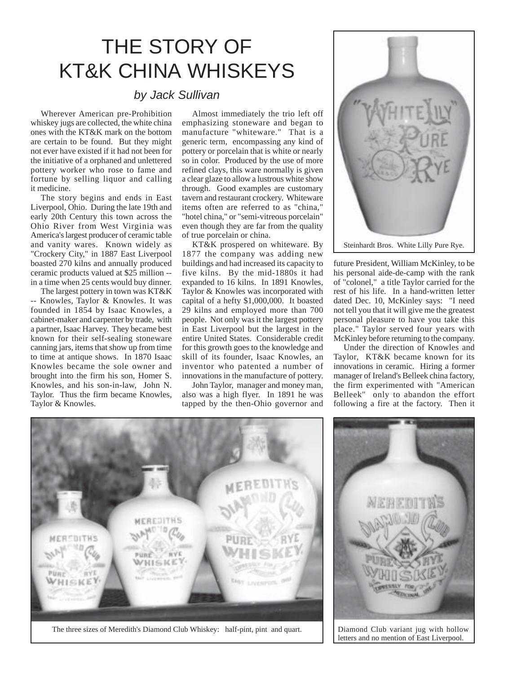## THE STORY OF KT&K CHINA WHISKEYS

## *by Jack Sullivan*

Wherever American pre-Prohibition whiskey jugs are collected, the white china ones with the KT&K mark on the bottom are certain to be found. But they might not ever have existed if it had not been for the initiative of a orphaned and unlettered pottery worker who rose to fame and fortune by selling liquor and calling it medicine.

The story begins and ends in East Liverpool, Ohio. During the late 19th and early 20th Century this town across the Ohio River from West Virginia was America's largest producer of ceramic table and vanity wares. Known widely as "Crockery City," in 1887 East Liverpool boasted 270 kilns and annually produced ceramic products valued at \$25 million - in a time when 25 cents would buy dinner.

The largest pottery in town was KT&K -- Knowles, Taylor & Knowles. It was founded in 1854 by Isaac Knowles, a cabinet-maker and carpenter by trade, with a partner, Isaac Harvey. They became best known for their self-sealing stoneware canning jars, items that show up from time to time at antique shows. In 1870 Isaac Knowles became the sole owner and brought into the firm his son, Homer S. Knowles, and his son-in-law, John N. Taylor. Thus the firm became Knowles, Taylor & Knowles.

Almost immediately the trio left off emphasizing stoneware and began to manufacture "whiteware." That is a generic term, encompassing any kind of pottery or porcelain that is white or nearly so in color. Produced by the use of more refined clays, this ware normally is given a clear glaze to allow a lustrous white show through. Good examples are customary tavern and restaurant crockery. Whiteware items often are referred to as "china," "hotel china," or "semi-vitreous porcelain" even though they are far from the quality of true porcelain or china.

KT&K prospered on whiteware. By 1877 the company was adding new buildings and had increased its capacity to five kilns. By the mid-1880s it had expanded to 16 kilns. In 1891 Knowles, Taylor & Knowles was incorporated with capital of a hefty \$1,000,000. It boasted 29 kilns and employed more than 700 people. Not only was it the largest pottery in East Liverpool but the largest in the entire United States. Considerable credit for this growth goes to the knowledge and skill of its founder, Isaac Knowles, an inventor who patented a number of innovations in the manufacture of pottery.

John Taylor, manager and money man, also was a high flyer. In 1891 he was tapped by the then-Ohio governor and



future President, William McKinley, to be his personal aide-de-camp with the rank of "colonel," a title Taylor carried for the rest of his life. In a hand-written letter dated Dec. 10, McKinley says: "I need not tell you that it will give me the greatest personal pleasure to have you take this place." Taylor served four years with McKinley before returning to the company.

Under the direction of Knowles and Taylor, KT&K became known for its innovations in ceramic. Hiring a former manager of Ireland's Belleek china factory, the firm experimented with "American Belleek" only to abandon the effort following a fire at the factory. Then it





letters and no mention of East Liverpool.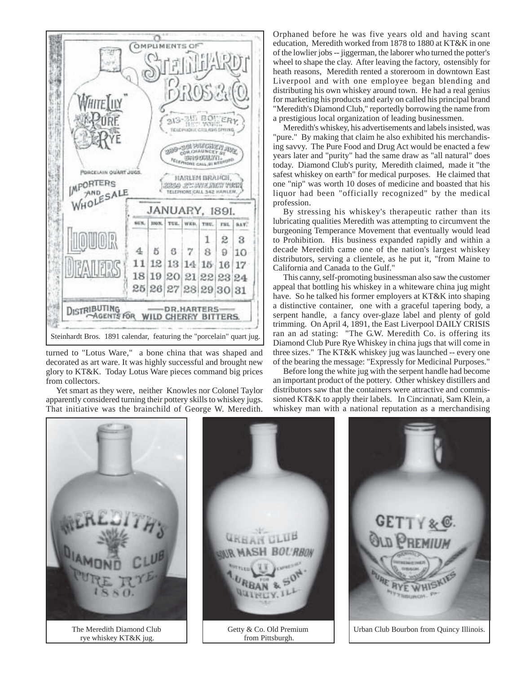

turned to "Lotus Ware," a bone china that was shaped and decorated as art ware. It was highly successful and brought new glory to KT&K. Today Lotus Ware pieces command big prices from collectors.

Yet smart as they were, neither Knowles nor Colonel Taylor apparently considered turning their pottery skills to whiskey jugs. That initiative was the brainchild of George W. Meredith.

Orphaned before he was five years old and having scant education, Meredith worked from 1878 to 1880 at KT&K in one of the lowlier jobs -- jiggerman, the laborer who turned the potter's wheel to shape the clay. After leaving the factory, ostensibly for heath reasons, Meredith rented a storeroom in downtown East Liverpool and with one employee began blending and distributing his own whiskey around town. He had a real genius for marketing his products and early on called his principal brand "Meredith's Diamond Club," reportedly borrowing the name from a prestigious local organization of leading businessmen.

Meredith's whiskey, his advertisements and labels insisted, was "pure." By making that claim he also exhibited his merchandising savvy. The Pure Food and Drug Act would be enacted a few years later and "purity" had the same draw as "all natural" does today. Diamond Club's purity, Meredith claimed, made it "the safest whiskey on earth" for medical purposes. He claimed that one "nip" was worth 10 doses of medicine and boasted that his liquor had been "officially recognized" by the medical profession.

By stressing his whiskey's therapeutic rather than its lubricating qualities Meredith was attempting to circumvent the burgeoning Temperance Movement that eventually would lead to Prohibition. His business expanded rapidly and within a decade Meredith came one of the nation's largest whiskey distributors, serving a clientele, as he put it, "from Maine to California and Canada to the Gulf."

This canny, self-promoting businessman also saw the customer appeal that bottling his whiskey in a whiteware china jug might have. So he talked his former employers at KT&K into shaping a distinctive container, one with a graceful tapering body, a serpent handle, a fancy over-glaze label and plenty of gold trimming. On April 4, 1891, the East Liverpool DAILY CRISIS ran an ad stating: "The G.W. Meredith Co. is offering its Diamond Club Pure Rye Whiskey in china jugs that will come in three sizes." The KT&K whiskey jug was launched -- every one of the bearing the message: "Expressly for Medicinal Purposes."

Before long the white jug with the serpent handle had become an important product of the pottery. Other whiskey distillers and distributors saw that the containers were attractive and commissioned KT&K to apply their labels. In Cincinnati, Sam Klein, a whiskey man with a national reputation as a merchandising

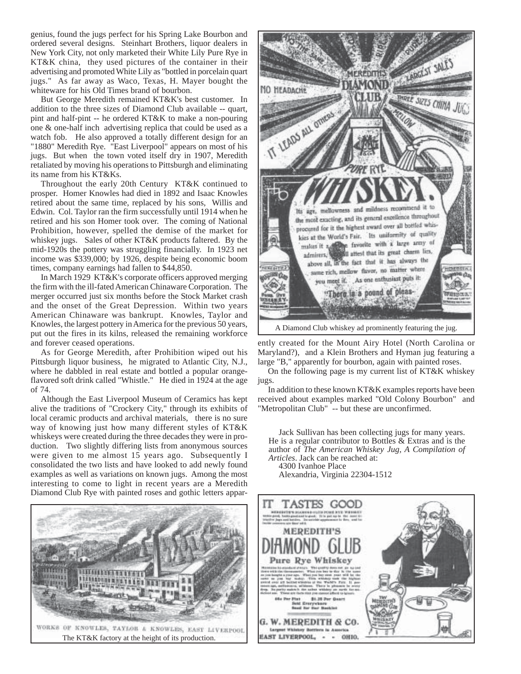genius, found the jugs perfect for his Spring Lake Bourbon and ordered several designs. Steinhart Brothers, liquor dealers in New York City, not only marketed their White Lily Pure Rye in KT&K china, they used pictures of the container in their advertising and promoted White Lily as "bottled in porcelain quart jugs." As far away as Waco, Texas, H. Mayer bought the whiteware for his Old Times brand of bourbon.

But George Meredith remained KT&K's best customer. In addition to the three sizes of Diamond Club available -- quart, pint and half-pint -- he ordered KT&K to make a non-pouring one & one-half inch advertising replica that could be used as a watch fob. He also approved a totally different design for an "1880" Meredith Rye. "East Liverpool" appears on most of his jugs. But when the town voted itself dry in 1907, Meredith retaliated by moving his operations to Pittsburgh and eliminating its name from his KT&Ks.

Throughout the early 20th Century KT&K continued to prosper. Homer Knowles had died in 1892 and Isaac Knowles retired about the same time, replaced by his sons, Willis and Edwin. Col. Taylor ran the firm successfully until 1914 when he retired and his son Homer took over. The coming of National Prohibition, however, spelled the demise of the market for whiskey jugs. Sales of other KT&K products faltered. By the mid-1920s the pottery was struggling financially. In 1923 net income was \$339,000; by 1926, despite being economic boom times, company earnings had fallen to \$44,850.

In March 1929 KT&K's corporate officers approved merging the firm with the ill-fated American Chinaware Corporation. The merger occurred just six months before the Stock Market crash and the onset of the Great Depression. Within two years American Chinaware was bankrupt. Knowles, Taylor and Knowles, the largest pottery in America for the previous 50 years, put out the fires in its kilns, released the remaining workforce and forever ceased operations.

As for George Meredith, after Prohibition wiped out his Pittsburgh liquor business, he migrated to Atlantic City, N.J., where he dabbled in real estate and bottled a popular orangeflavored soft drink called "Whistle." He died in 1924 at the age of 74.

Although the East Liverpool Museum of Ceramics has kept alive the traditions of "Crockery City," through its exhibits of local ceramic products and archival materials, there is no sure way of knowing just how many different styles of KT&K whiskeys were created during the three decades they were in production. Two slightly differing lists from anonymous sources were given to me almost 15 years ago. Subsequently I consolidated the two lists and have looked to add newly found examples as well as variations on known jugs. Among the most interesting to come to light in recent years are a Meredith Diamond Club Rye with painted roses and gothic letters appar-





ently created for the Mount Airy Hotel (North Carolina or Maryland?), and a Klein Brothers and Hyman jug featuring a large "B," apparently for bourbon, again with painted roses.

On the following page is my current list of KT&K whiskey jugs.

In addition to these known KT&K examples reports have been received about examples marked "Old Colony Bourbon" and "Metropolitan Club" -- but these are unconfirmed.

Jack Sullivan has been collecting jugs for many years. He is a regular contributor to Bottles  $\&$  Extras and is the author of *The American Whiskey Jug, A Compilation of Articles*. Jack can be reached at:

4300 Ivanhoe Place Alexandria, Virginia 22304-1512